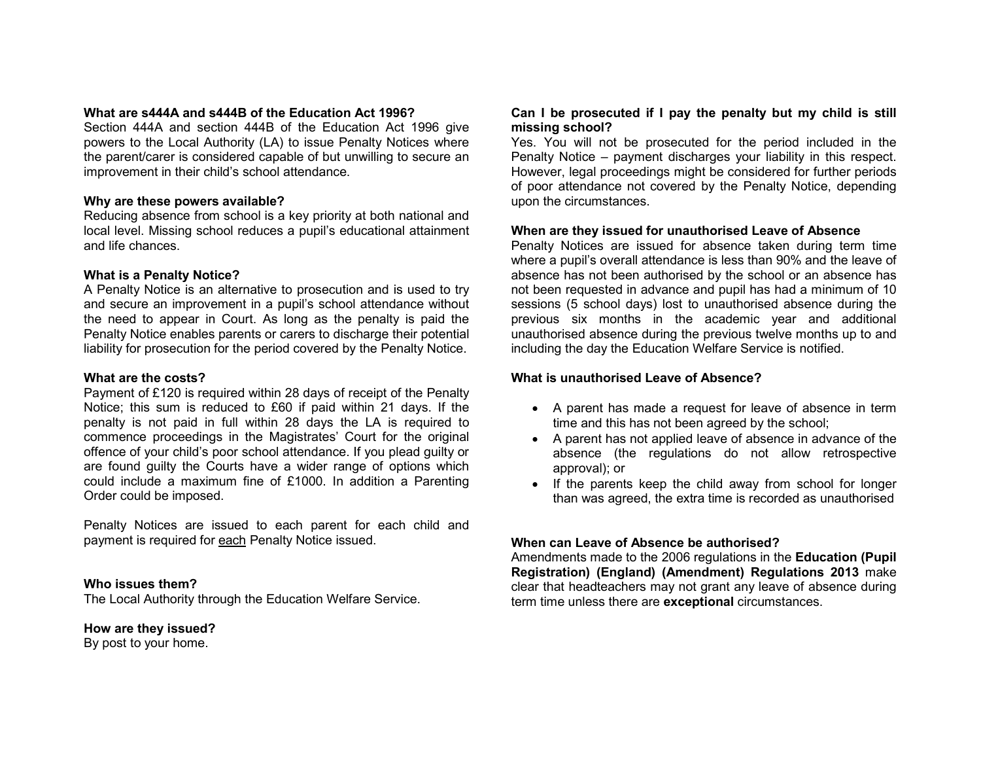### **What are s444A and s444B of the Education Act 1996?**

 Section 444A and section 444B of the Education Act 1996 give powers to the Local Authority (LA) to issue Penalty Notices where the parent/carer is considered capable of but unwilling to secure an improvement in their child's school attendance.

## **Why are these powers available?**

 Reducing absence from school is a key priority at both national and local level. Missing school reduces a pupil's educational attainment and life chances.

#### **What is a Penalty Notice?**

 A Penalty Notice is an alternative to prosecution and is used to try and secure an improvement in a pupil's school attendance without the need to appear in Court. As long as the penalty is paid the Penalty Notice enables parents or carers to discharge their potential liability for prosecution for the period covered by the Penalty Notice.

#### **What are the costs?**

 Payment of £120 is required within 28 days of receipt of the Penalty Notice; this sum is reduced to £60 if paid within 21 days. If the penalty is not paid in full within 28 days the LA is required to commence proceedings in the Magistrates' Court for the original offence of your child's poor school attendance. If you plead guilty or are found guilty the Courts have a wider range of options which could include a maximum fine of £1000. In addition a Parenting Order could be imposed.

Penalty Notices are issued to each parent for each child and payment is required for each Penalty Notice issued.

### **Who issues them?**

The Local Authority through the Education Welfare Service.

## **How are they issued?**

By post to your home.

## **Can I be prosecuted if I pay the penalty but my child is still missing school?**

 Yes. You will not be prosecuted for the period included in the Penalty Notice – payment discharges your liability in this respect. However, legal proceedings might be considered for further periods of poor attendance not covered by the Penalty Notice, depending upon the circumstances.

## **When are they issued for unauthorised Leave of Absence**

 Penalty Notices are issued for absence taken during term time where a pupil's overall attendance is less than 90% and the leave of absence has not been authorised by the school or an absence has not been requested in advance and pupil has had a minimum of 10 sessions (5 school days) lost to unauthorised absence during the previous six months in the academic year and additional unauthorised absence during the previous twelve months up to and including the day the Education Welfare Service is notified.

## **What is unauthorised Leave of Absence?**

- A parent has made a request for leave of absence in term time and this has not been agreed by the school;
- A parent has not applied leave of absence in advance of the absence (the regulations do not allow retrospectiveapproval); or
- If the parents keep the child away from school for longer than was agreed, the extra time is recorded as unauthorised

## **When can Leave of Absence be authorised?**

 Amendments made to the 2006 regulations in the **Education (Pupil Registration) (England) (Amendment) Regulations 2013** make clear that headteachers may not grant any leave of absence during term time unless there are **exceptional** circumstances.